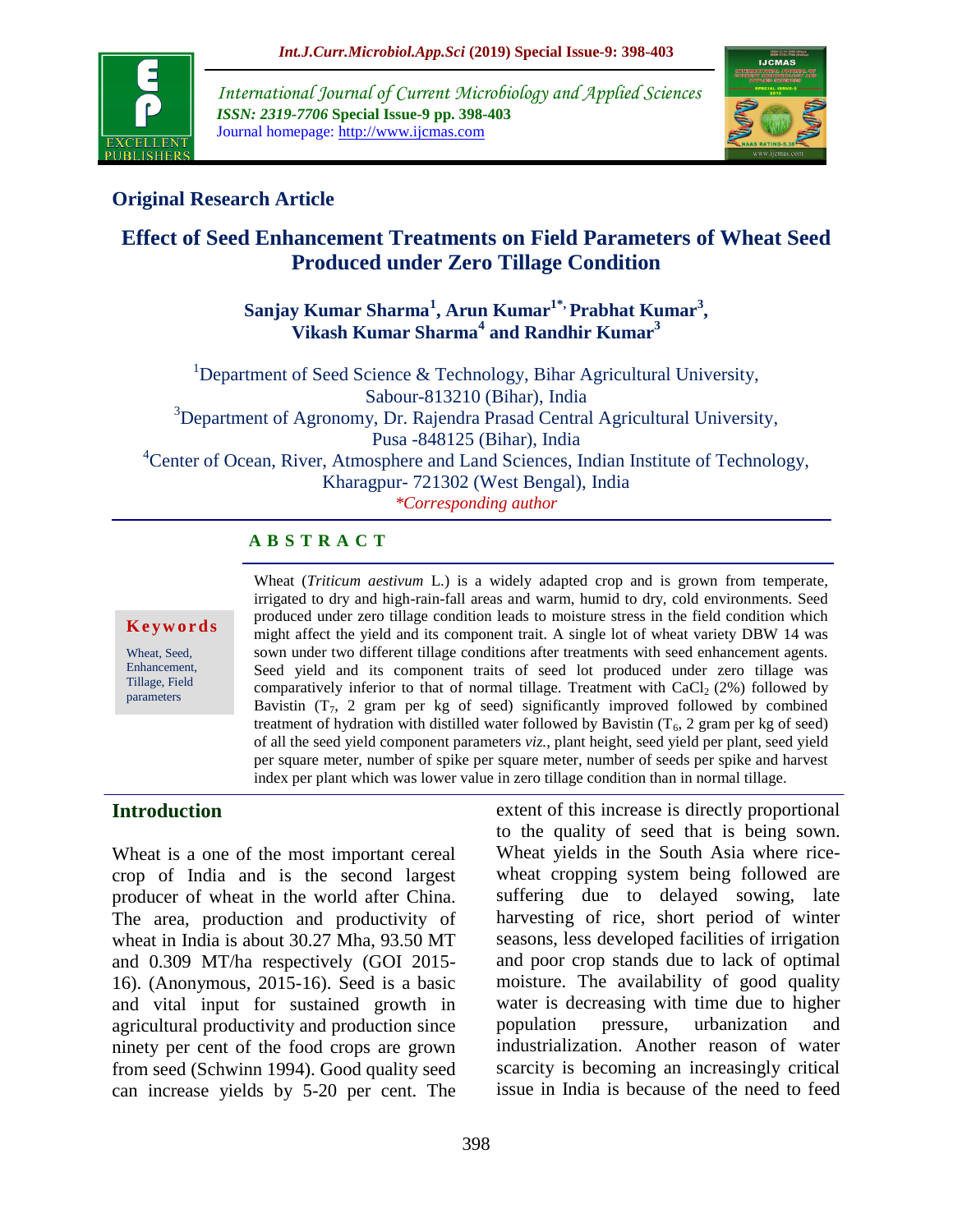

*International Journal of Current Microbiology and Applied Sciences ISSN: 2319-7706* **Special Issue-9 pp. 398-403** Journal homepage: http://www.ijcmas.com



### **Original Research Article**

## **Effect of Seed Enhancement Treatments on Field Parameters of Wheat Seed Produced under Zero Tillage Condition**

**Sanjay Kumar Sharma<sup>1</sup> , Arun Kumar1\*, Prabhat Kumar<sup>3</sup> , Vikash Kumar Sharma<sup>4</sup> and Randhir Kumar<sup>3</sup>**

<sup>1</sup>Department of Seed Science & Technology, Bihar Agricultural University, Sabour-813210 (Bihar), India  $3$ Department of Agronomy, Dr. Rajendra Prasad Central Agricultural University, Pusa -848125 (Bihar), India <sup>4</sup>Center of Ocean, River, Atmosphere and Land Sciences, Indian Institute of Technology, Kharagpur- 721302 (West Bengal), India *\*Corresponding author*

### **A B S T R A C T**

#### **K e y w o r d s**

Wheat, Seed, Enhancement, Tillage, Field parameters

Wheat (*Triticum aestivum* L.) is a widely adapted crop and is grown from temperate, irrigated to dry and high-rain-fall areas and warm, humid to dry, cold environments. Seed produced under zero tillage condition leads to moisture stress in the field condition which might affect the yield and its component trait. A single lot of wheat variety DBW 14 was sown under two different tillage conditions after treatments with seed enhancement agents. Seed yield and its component traits of seed lot produced under zero tillage was comparatively inferior to that of normal tillage. Treatment with  $CaCl<sub>2</sub>(2%)$  followed by Bavistin  $(T_7, 2 \text{ gram per kg of seed})$  significantly improved followed by combined treatment of hydration with distilled water followed by Bavistin  $(T_6, 2 \text{ gram per kg of seed})$ of all the seed yield component parameters *viz.,* plant height, seed yield per plant, seed yield per square meter, number of spike per square meter, number of seeds per spike and harvest index per plant which was lower value in zero tillage condition than in normal tillage.

### **Introduction**

Wheat is a one of the most important cereal crop of India and is the second largest producer of wheat in the world after China. The area, production and productivity of wheat in India is about 30.27 Mha, 93.50 MT and 0.309 MT/ha respectively (GOI 2015- 16). (Anonymous, 2015-16). Seed is a basic and vital input for sustained growth in agricultural productivity and production since ninety per cent of the food crops are grown from seed (Schwinn 1994). Good quality seed can increase yields by 5-20 per cent. The extent of this increase is directly proportional to the quality of seed that is being sown. Wheat yields in the South Asia where ricewheat cropping system being followed are suffering due to delayed sowing, late harvesting of rice, short period of winter seasons, less developed facilities of irrigation and poor crop stands due to lack of optimal moisture. The availability of good quality water is decreasing with time due to higher population pressure, urbanization and industrialization. Another reason of water scarcity is becoming an increasingly critical issue in India is because of the need to feed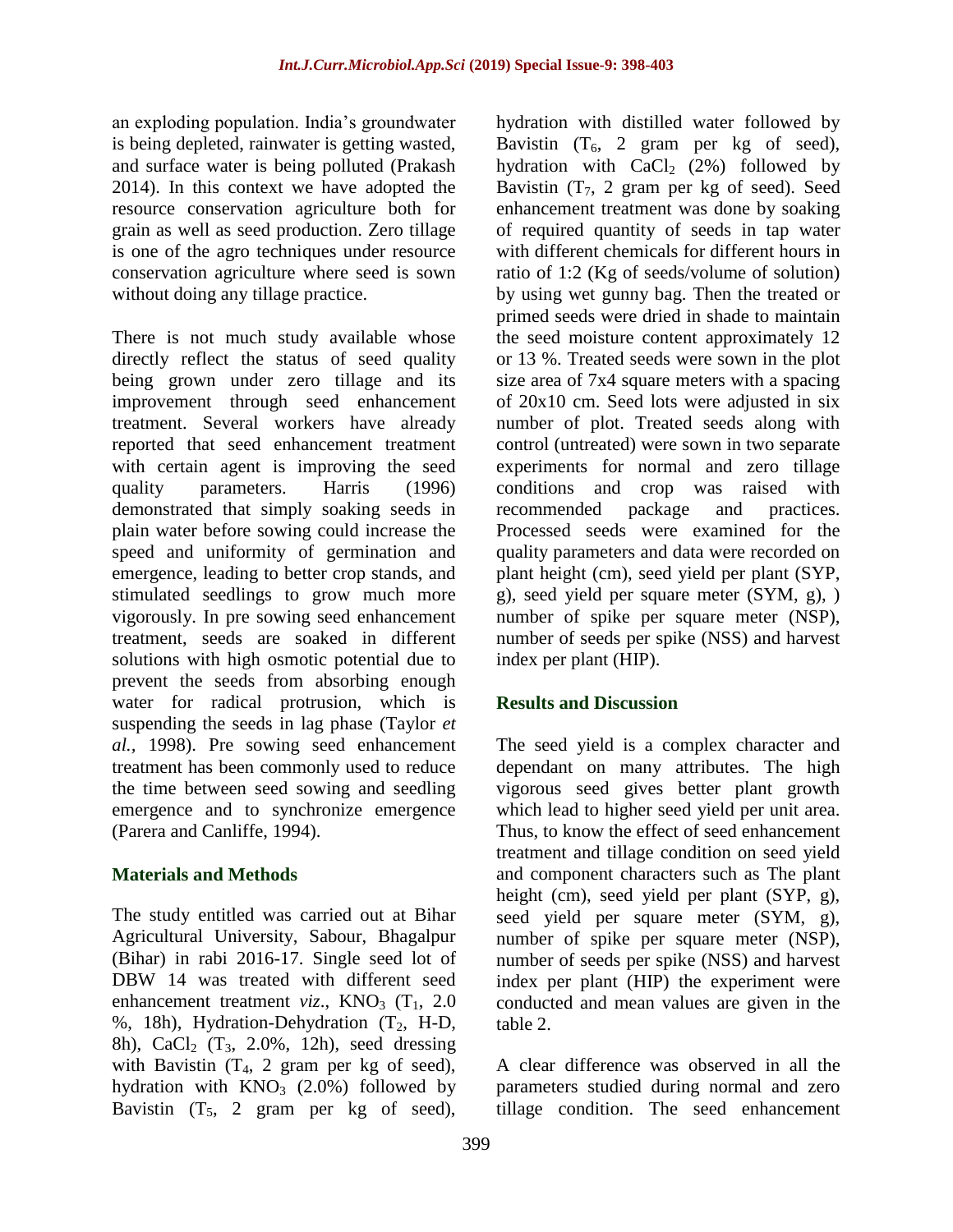an exploding population. India's groundwater is being depleted, rainwater is getting wasted, and surface water is being polluted (Prakash 2014). In this context we have adopted the resource conservation agriculture both for grain as well as seed production. Zero tillage is one of the agro techniques under resource conservation agriculture where seed is sown without doing any tillage practice.

There is not much study available whose directly reflect the status of seed quality being grown under zero tillage and its improvement through seed enhancement treatment. Several workers have already reported that seed enhancement treatment with certain agent is improving the seed quality parameters. Harris (1996) demonstrated that simply soaking seeds in plain water before sowing could increase the speed and uniformity of germination and emergence, leading to better crop stands, and stimulated seedlings to grow much more vigorously. In pre sowing seed enhancement treatment, seeds are soaked in different solutions with high osmotic potential due to prevent the seeds from absorbing enough water for radical protrusion, which is suspending the seeds in lag phase (Taylor *et al.,* 1998). Pre sowing seed enhancement treatment has been commonly used to reduce the time between seed sowing and seedling emergence and to synchronize emergence (Parera and Canliffe, 1994).

## **Materials and Methods**

The study entitled was carried out at Bihar Agricultural University, Sabour, Bhagalpur (Bihar) in rabi 2016-17. Single seed lot of DBW 14 was treated with different seed enhancement treatment *viz*.,  $KNO<sub>3</sub>$  (T<sub>1</sub>, 2.0) %, 18h), Hydration-Dehydration  $(T_2, H-D,$ 8h), CaCl<sub>2</sub> (T<sub>3</sub>, 2.0%, 12h), seed dressing with Bavistin  $(T_4, 2 \text{ gram per kg of seed})$ , hydration with  $KNO_3$  (2.0%) followed by Bavistin  $(T_5, 2 \text{ gram per kg of seed})$ ,

hydration with distilled water followed by Bavistin  $(T_6, 2 \text{ gram per kg of seed})$ , hydration with  $CaCl<sub>2</sub>$  (2%) followed by Bavistin  $(T_7, 2 \text{ gram per kg of seed})$ . Seed enhancement treatment was done by soaking of required quantity of seeds in tap water with different chemicals for different hours in ratio of 1:2 (Kg of seeds/volume of solution) by using wet gunny bag. Then the treated or primed seeds were dried in shade to maintain the seed moisture content approximately 12 or 13 %. Treated seeds were sown in the plot size area of 7x4 square meters with a spacing of 20x10 cm. Seed lots were adjusted in six number of plot. Treated seeds along with control (untreated) were sown in two separate experiments for normal and zero tillage conditions and crop was raised with recommended package and practices. Processed seeds were examined for the quality parameters and data were recorded on plant height (cm), seed yield per plant (SYP, g), seed yield per square meter (SYM, g), ) number of spike per square meter (NSP), number of seeds per spike (NSS) and harvest index per plant (HIP).

## **Results and Discussion**

The seed yield is a complex character and dependant on many attributes. The high vigorous seed gives better plant growth which lead to higher seed yield per unit area. Thus, to know the effect of seed enhancement treatment and tillage condition on seed yield and component characters such as The plant height (cm), seed yield per plant (SYP, g), seed yield per square meter (SYM, g), number of spike per square meter (NSP), number of seeds per spike (NSS) and harvest index per plant (HIP) the experiment were conducted and mean values are given in the table 2.

A clear difference was observed in all the parameters studied during normal and zero tillage condition. The seed enhancement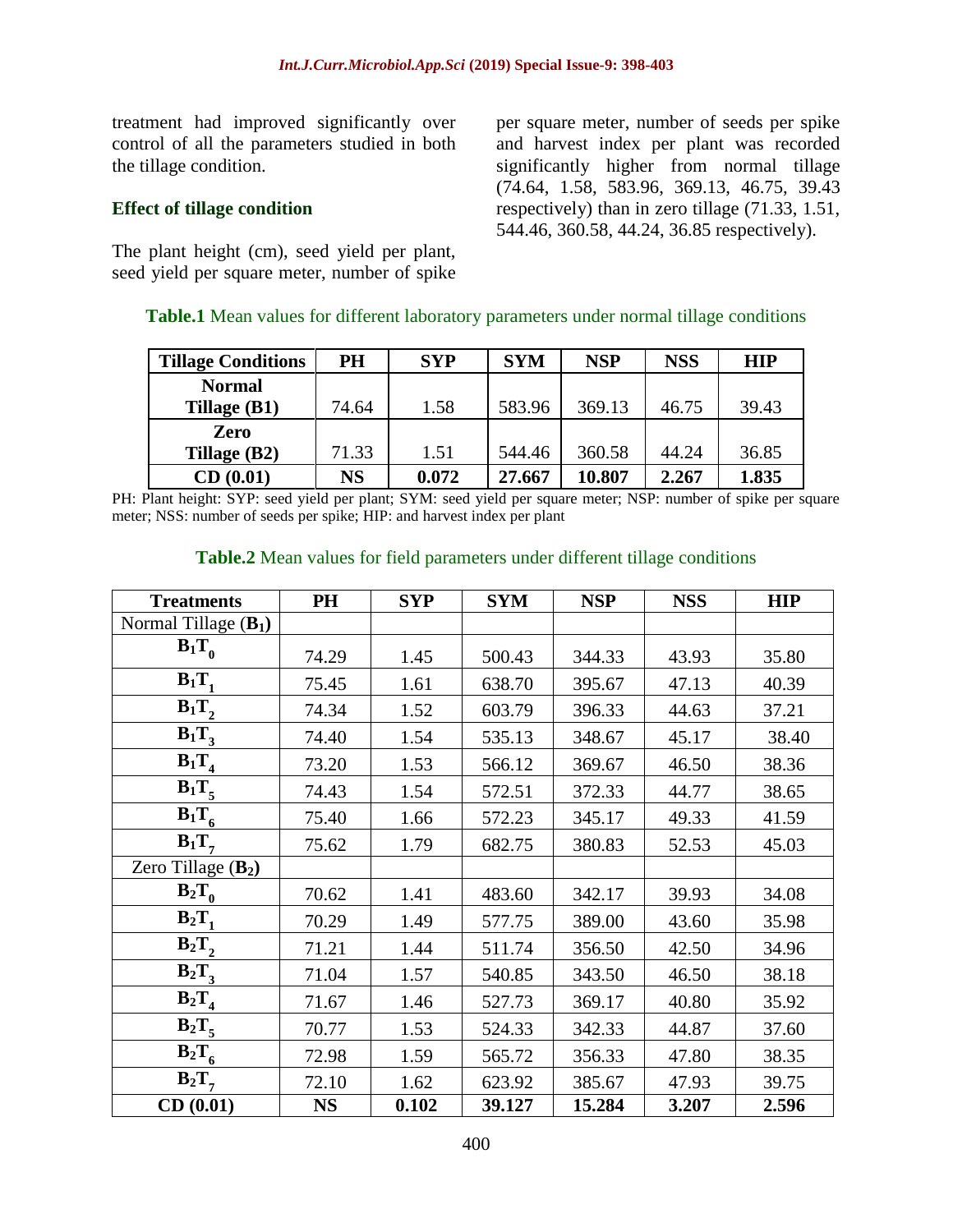treatment had improved significantly over control of all the parameters studied in both the tillage condition.

#### **Effect of tillage condition**

The plant height (cm), seed yield per plant, seed yield per square meter, number of spike per square meter, number of seeds per spike and harvest index per plant was recorded significantly higher from normal tillage (74.64, 1.58, 583.96, 369.13, 46.75, 39.43 respectively) than in zero tillage (71.33, 1.51, 544.46, 360.58, 44.24, 36.85 respectively).

#### **Table.1** Mean values for different laboratory parameters under normal tillage conditions

| <b>Tillage Conditions</b> | PH    | <b>SYP</b> | <b>SYM</b> | <b>NSP</b> | <b>NSS</b> | <b>HIP</b> |
|---------------------------|-------|------------|------------|------------|------------|------------|
| <b>Normal</b>             |       |            |            |            |            |            |
| Tillage (B1)              | 74.64 | 1.58       | 583.96     | 369.13     | 46.75      | 39.43      |
| Zero                      |       |            |            |            |            |            |
| Tillage $(B2)$            | 71.33 | 1.51       | 544.46     | 360.58     | 44.24      | 36.85      |
| CD(0.01)                  | NS    | 0.072      | 27.667     | 10.807     | 2.267      | 1.835      |

PH: Plant height: SYP: seed yield per plant; SYM: seed yield per square meter; NSP: number of spike per square meter; NSS: number of seeds per spike; HIP: and harvest index per plant

#### **Table.2** Mean values for field parameters under different tillage conditions

| <b>Treatments</b>      | PH        | <b>SYP</b> | <b>SYM</b> | <b>NSP</b> | <b>NSS</b> | <b>HIP</b> |
|------------------------|-----------|------------|------------|------------|------------|------------|
| Normal Tillage $(B_1)$ |           |            |            |            |            |            |
| $B_1T_0$               | 74.29     | 1.45       | 500.43     | 344.33     | 43.93      | 35.80      |
| $B_1T_1$               | 75.45     | 1.61       | 638.70     | 395.67     | 47.13      | 40.39      |
| $B_1T$ ,               | 74.34     | 1.52       | 603.79     | 396.33     | 44.63      | 37.21      |
| $B_1T_3$               | 74.40     | 1.54       | 535.13     | 348.67     | 45.17      | 38.40      |
| $B_1T_A$               | 73.20     | 1.53       | 566.12     | 369.67     | 46.50      | 38.36      |
| $B_1T_5$               | 74.43     | 1.54       | 572.51     | 372.33     | 44.77      | 38.65      |
| $\overline{B_1}T_6$    | 75.40     | 1.66       | 572.23     | 345.17     | 49.33      | 41.59      |
| $B_1T_\tau$            | 75.62     | 1.79       | 682.75     | 380.83     | 52.53      | 45.03      |
| Zero Tillage $(B_2)$   |           |            |            |            |            |            |
| $B_2T_0$               | 70.62     | 1.41       | 483.60     | 342.17     | 39.93      | 34.08      |
| $B_2T_1$               | 70.29     | 1.49       | 577.75     | 389.00     | 43.60      | 35.98      |
| $B_2T_2$               | 71.21     | 1.44       | 511.74     | 356.50     | 42.50      | 34.96      |
| $B_2T_3$               | 71.04     | 1.57       | 540.85     | 343.50     | 46.50      | 38.18      |
| $B_2T_4$               | 71.67     | 1.46       | 527.73     | 369.17     | 40.80      | 35.92      |
| $B_2T_5$               | 70.77     | 1.53       | 524.33     | 342.33     | 44.87      | 37.60      |
| $B_2T_6$               | 72.98     | 1.59       | 565.72     | 356.33     | 47.80      | 38.35      |
| $B_2T$ ,               | 72.10     | 1.62       | 623.92     | 385.67     | 47.93      | 39.75      |
| CD(0.01)               | <b>NS</b> | 0.102      | 39.127     | 15.284     | 3.207      | 2.596      |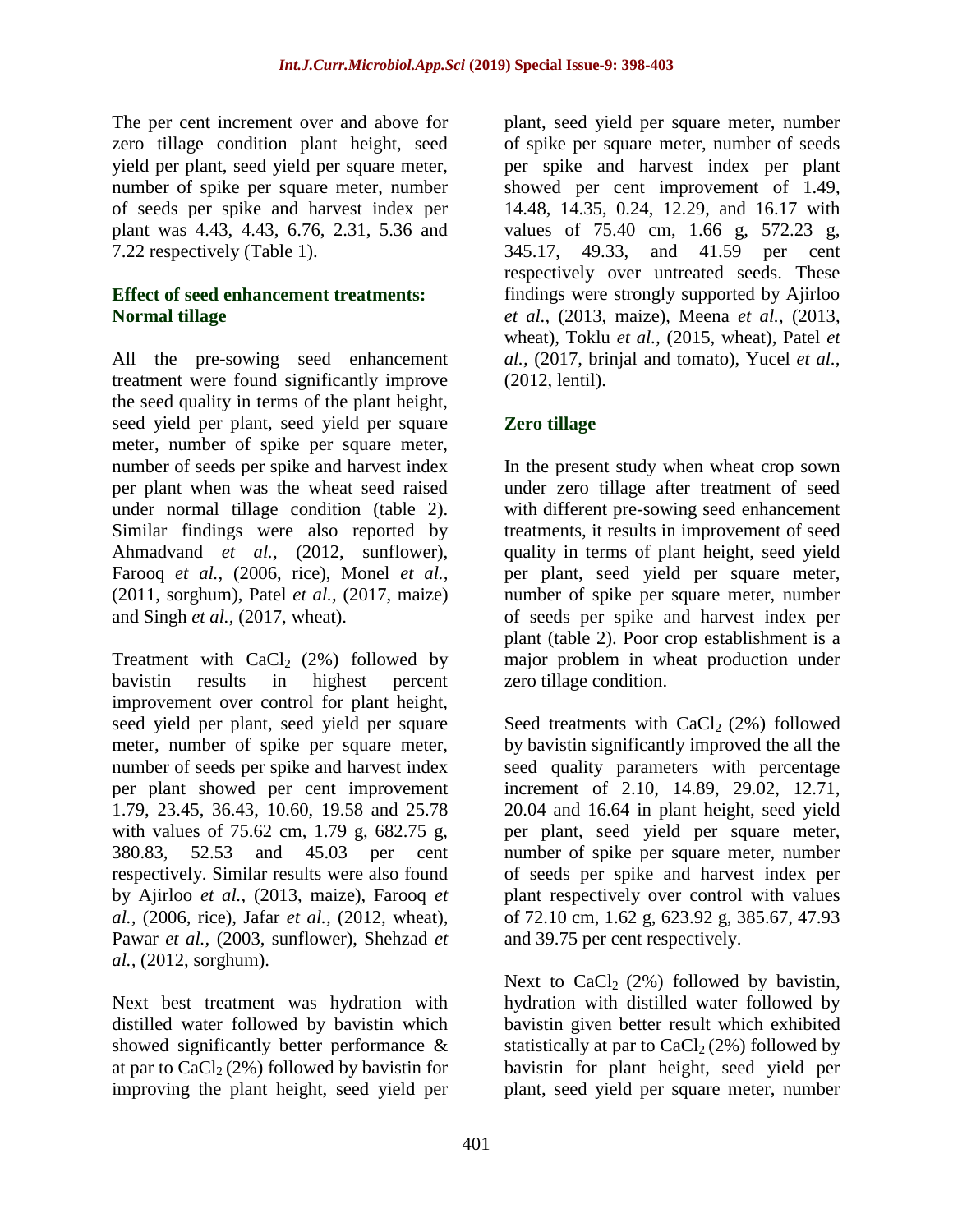The per cent increment over and above for zero tillage condition plant height, seed yield per plant, seed yield per square meter, number of spike per square meter, number of seeds per spike and harvest index per plant was 4.43, 4.43, 6.76, 2.31, 5.36 and 7.22 respectively (Table 1).

### **Effect of seed enhancement treatments: Normal tillage**

All the pre-sowing seed enhancement treatment were found significantly improve the seed quality in terms of the plant height, seed yield per plant, seed yield per square meter, number of spike per square meter, number of seeds per spike and harvest index per plant when was the wheat seed raised under normal tillage condition (table 2). Similar findings were also reported by Ahmadvand *et al.,* (2012, sunflower), Farooq *et al.,* (2006, rice), Monel *et al.,*  (2011, sorghum), Patel *et al.,* (2017, maize) and Singh *et al.,* (2017, wheat).

Treatment with  $CaCl<sub>2</sub>$  (2%) followed by bavistin results in highest percent improvement over control for plant height, seed yield per plant, seed yield per square meter, number of spike per square meter, number of seeds per spike and harvest index per plant showed per cent improvement 1.79, 23.45, 36.43, 10.60, 19.58 and 25.78 with values of 75.62 cm, 1.79 g, 682.75 g, 380.83, 52.53 and 45.03 per cent respectively. Similar results were also found by Ajirloo *et al.,* (2013, maize), Farooq *et al.,* (2006, rice), Jafar *et al.,* (2012, wheat), Pawar *et al.,* (2003, sunflower), Shehzad *et al.,* (2012, sorghum).

Next best treatment was hydration with distilled water followed by bavistin which showed significantly better performance & at par to  $CaCl<sub>2</sub>(2%)$  followed by bavistin for improving the plant height, seed yield per

plant, seed yield per square meter, number of spike per square meter, number of seeds per spike and harvest index per plant showed per cent improvement of 1.49, 14.48, 14.35, 0.24, 12.29, and 16.17 with values of 75.40 cm, 1.66 g, 572.23 g, 345.17, 49.33, and 41.59 per cent respectively over untreated seeds. These findings were strongly supported by Ajirloo *et al.,* (2013, maize), Meena *et al.,* (2013, wheat), Toklu *et al.,* (2015, wheat), Patel *et al.,* (2017, brinjal and tomato), Yucel *et al.,*  (2012, lentil).

# **Zero tillage**

In the present study when wheat crop sown under zero tillage after treatment of seed with different pre-sowing seed enhancement treatments, it results in improvement of seed quality in terms of plant height, seed yield per plant, seed yield per square meter, number of spike per square meter, number of seeds per spike and harvest index per plant (table 2). Poor crop establishment is a major problem in wheat production under zero tillage condition.

Seed treatments with  $CaCl<sub>2</sub>$  (2%) followed by bavistin significantly improved the all the seed quality parameters with percentage increment of 2.10, 14.89, 29.02, 12.71, 20.04 and 16.64 in plant height, seed yield per plant, seed yield per square meter, number of spike per square meter, number of seeds per spike and harvest index per plant respectively over control with values of 72.10 cm, 1.62 g, 623.92 g, 385.67, 47.93 and 39.75 per cent respectively.

Next to  $CaCl<sub>2</sub>$  (2%) followed by bavistin, hydration with distilled water followed by bavistin given better result which exhibited statistically at par to  $CaCl<sub>2</sub>(2%)$  followed by bavistin for plant height, seed yield per plant, seed yield per square meter, number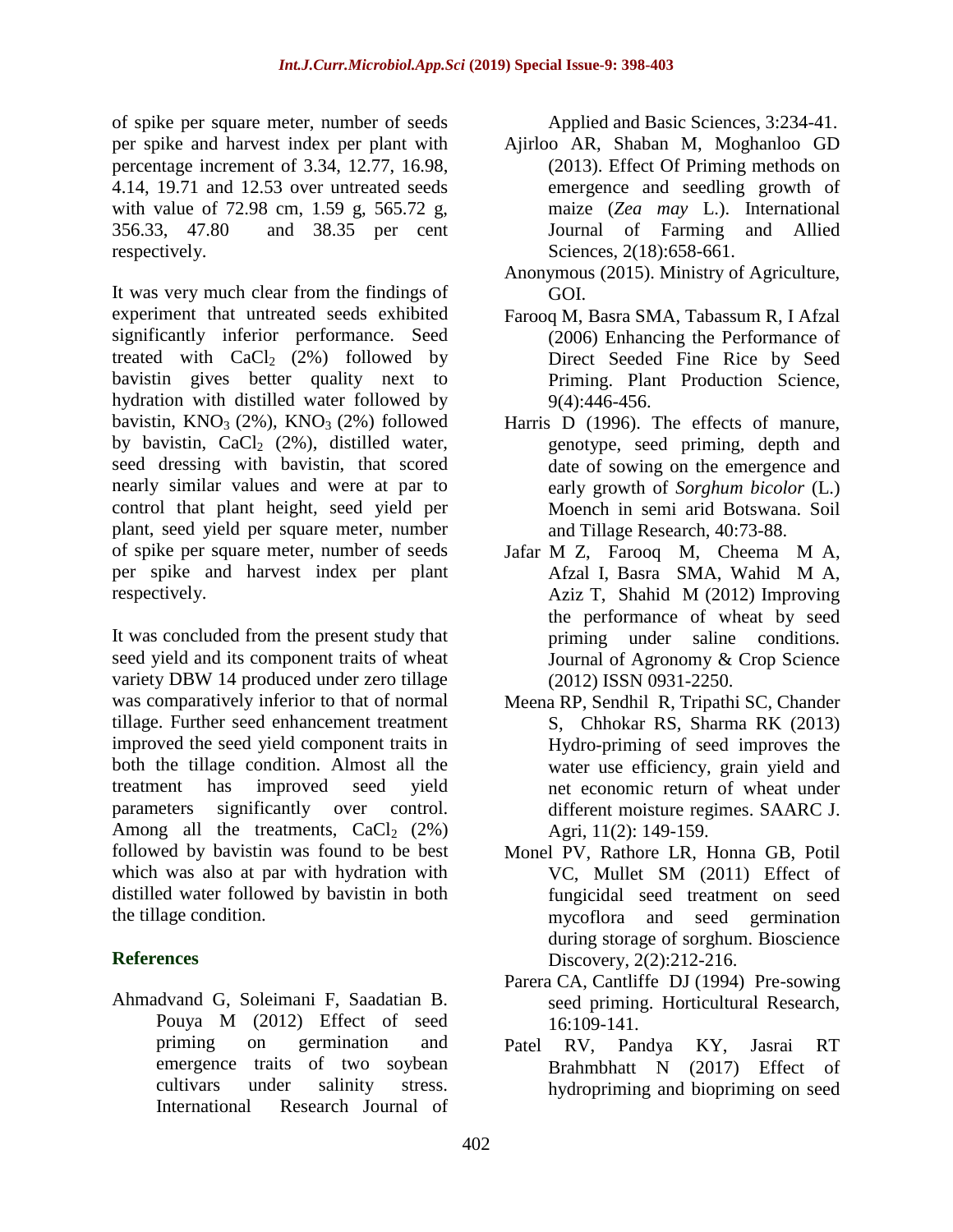of spike per square meter, number of seeds per spike and harvest index per plant with percentage increment of 3.34, 12.77, 16.98, 4.14, 19.71 and 12.53 over untreated seeds with value of 72.98 cm, 1.59 g, 565.72 g, 356.33, 47.80 and 38.35 per cent respectively.

It was very much clear from the findings of experiment that untreated seeds exhibited significantly inferior performance. Seed treated with  $CaCl<sub>2</sub>$  (2%) followed by bavistin gives better quality next to hydration with distilled water followed by bavistin,  $KNO<sub>3</sub>$  (2%),  $KNO<sub>3</sub>$  (2%) followed by bavistin,  $CaCl<sub>2</sub>$  (2%), distilled water, seed dressing with bavistin, that scored nearly similar values and were at par to control that plant height, seed yield per plant, seed yield per square meter, number of spike per square meter, number of seeds per spike and harvest index per plant respectively.

It was concluded from the present study that seed yield and its component traits of wheat variety DBW 14 produced under zero tillage was comparatively inferior to that of normal tillage. Further seed enhancement treatment improved the seed yield component traits in both the tillage condition. Almost all the treatment has improved seed yield parameters significantly over control. Among all the treatments,  $CaCl<sub>2</sub> (2%)$ followed by bavistin was found to be best which was also at par with hydration with distilled water followed by bavistin in both the tillage condition.

## **References**

Ahmadvand G, Soleimani F, Saadatian B. Pouya M (2012) Effect of seed priming on germination and emergence traits of two soybean cultivars under salinity stress. International Research Journal of

Applied and Basic Sciences, 3:234-41.

- Ajirloo AR, Shaban M, Moghanloo GD (2013). Effect Of Priming methods on emergence and seedling growth of maize (*Zea may* L.). International Journal of Farming and Allied Sciences, 2(18):658-661.
- Anonymous (2015). Ministry of Agriculture, GOI.
- Farooq M, Basra SMA, Tabassum R, I Afzal (2006) Enhancing the Performance of Direct Seeded Fine Rice by Seed Priming. Plant Production Science, 9(4):446-456.
- Harris D (1996). The effects of manure, genotype, seed priming, depth and date of sowing on the emergence and early growth of *Sorghum bicolor* (L.) Moench in semi arid Botswana. Soil and Tillage Research, 40:73-88.
- Jafar M Z, Farooq M, Cheema M A, Afzal I, Basra SMA, Wahid M A, Aziz T, Shahid M (2012) Improving the performance of wheat by seed priming under saline conditions*.*  Journal of Agronomy & Crop Science (2012) ISSN 0931-2250.
- Meena RP, Sendhil R, Tripathi SC, Chander S, Chhokar RS, Sharma RK (2013) Hydro-priming of seed improves the water use efficiency, grain yield and net economic return of wheat under different moisture regimes. SAARC J. Agri, 11(2): 149-159.
- Monel PV, Rathore LR, Honna GB, Potil VC, Mullet SM (2011) Effect of fungicidal seed treatment on seed mycoflora and seed germination during storage of sorghum. Bioscience Discovery, 2(2):212-216.
- Parera CA, Cantliffe DJ (1994) Pre-sowing seed priming. Horticultural Research, 16:109-141.
- Patel RV, Pandya KY, Jasrai RT Brahmbhatt N (2017) Effect of hydropriming and biopriming on seed